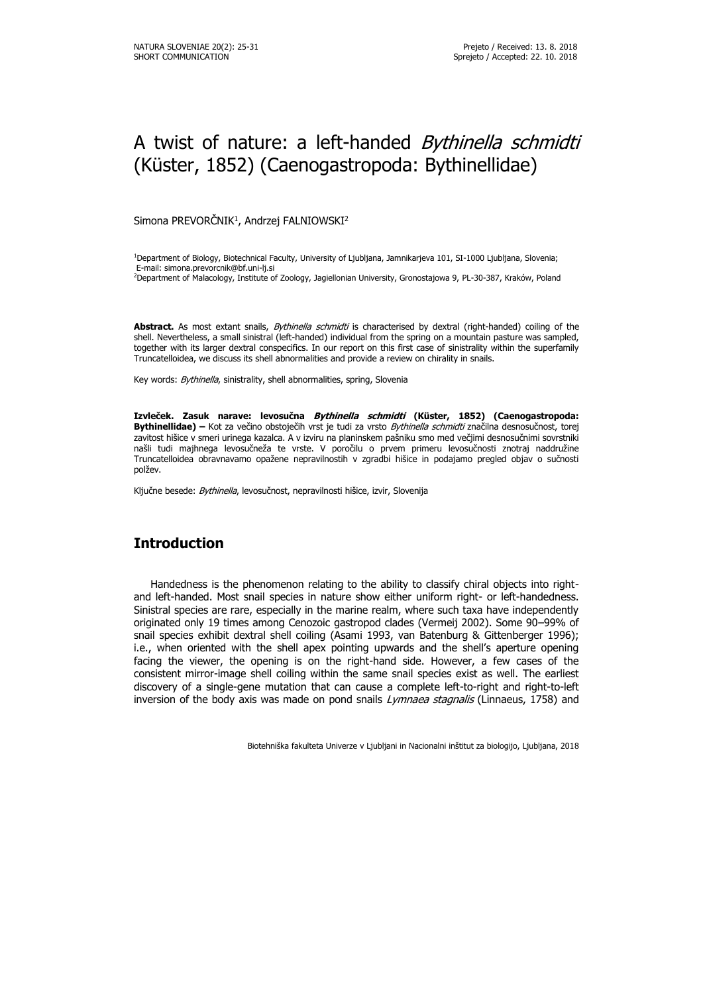# A twist of nature: a left-handed *Bythinella schmidti* (Küster, 1852) (Caenogastropoda: Bythinellidae)

Simona PREVORČNIK $^1$ , Andrzej FALNIOWSKI $^2$ 

<sup>1</sup>Department of Biology, Biotechnical Faculty, University of Ljubljana, Jamnikarjeva 101, SI-1000 Ljubljana, Slovenia; E-mail: simona.prevorcnik@bf.uni-lj.si <sup>2</sup>Department of Malacology, Institute of Zoology, Jagiellonian University, Gronostajowa 9, PL-30-387, Kraków, Poland

**Abstract.** As most extant snails, Bythinella schmidti is characterised by dextral (right-handed) coiling of the shell. Nevertheless, a small sinistral (left-handed) individual from the spring on a mountain pasture was sampled, together with its larger dextral conspecifics. In our report on this first case of sinistrality within the superfamily Truncatelloidea, we discuss its shell abnormalities and provide a review on chirality in snails.

Key words: Bythinella, sinistrality, shell abnormalities, spring, Slovenia

**Izvleček. Zasuk narave: levosučna Bythinella schmidti (Küster, 1852) (Caenogastropoda: Bythinellidae) –** Kot za večino obstoječih vrst je tudi za vrsto Bythinella schmidti značilna desnosučnost, torej zavitost hišice v smeri urinega kazalca. A v izviru na planinskem pašniku smo med večjimi desnosučnimi sovrstniki našli tudi majhnega levosučneža te vrste. V poročilu o prvem primeru levosučnosti znotraj naddružine Truncatelloidea obravnavamo opažene nepravilnostih v zgradbi hišice in podajamo pregled objav o sučnosti polžev.

Ključne besede: Bythinella, levosučnost, nepravilnosti hišice, izvir, Slovenija

## **Introduction**

Handedness is the phenomenon relating to the ability to classify chiral objects into rightand left-handed. Most snail species in nature show either uniform right- or left-handedness. Sinistral species are rare, especially in the marine realm, where such taxa have independently originated only 19 times among Cenozoic gastropod clades (Vermeij 2002). Some 90–99% of snail species exhibit dextral shell coiling (Asami 1993, van Batenburg & Gittenberger 1996); i.e., when oriented with the shell apex pointing upwards and the shell's aperture opening facing the viewer, the opening is on the right-hand side. However, a few cases of the consistent mirror-image shell coiling within the same snail species exist as well. The earliest discovery of a single-gene mutation that can cause a complete left-to-right and right-to-left inversion of the body axis was made on pond snails *Lymnaea stagnalis* (Linnaeus, 1758) and

Biotehniška fakulteta Univerze v Ljubljani in Nacionalni inštitut za biologijo, Ljubljana, 2018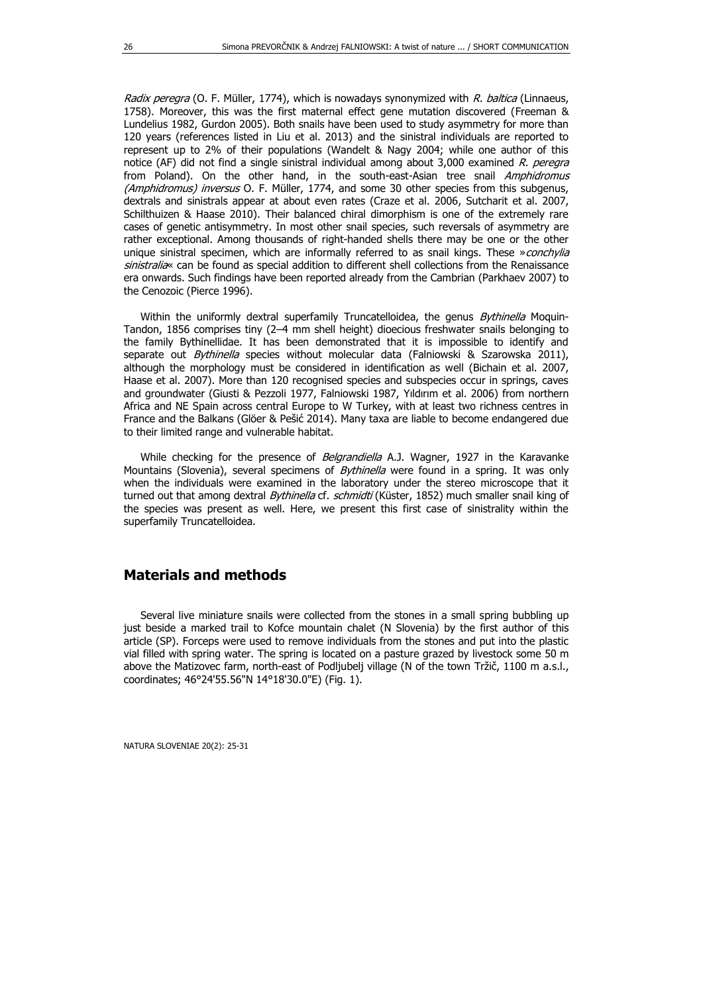Radix peregra (O. F. Müller, 1774), which is nowadays synonymized with R. baltica (Linnaeus, 1758). Moreover, this was the first maternal effect gene mutation discovered (Freeman & Lundelius 1982, Gurdon 2005). Both snails have been used to study asymmetry for more than 120 years (references listed in Liu et al. 2013) and the sinistral individuals are reported to represent up to 2% of their populations (Wandelt & Nagy 2004; while one author of this notice (AF) did not find a single sinistral individual among about 3,000 examined R. peregra from Poland). On the other hand, in the south-east-Asian tree snail Amphidromus (Amphidromus) inversus O. F. Müller, 1774, and some 30 other species from this subgenus, dextrals and sinistrals appear at about even rates (Craze et al. 2006, Sutcharit et al. 2007, Schilthuizen & Haase 2010). Their balanced chiral dimorphism is one of the extremely rare cases of genetic antisymmetry. In most other snail species, such reversals of asymmetry are rather exceptional. Among thousands of right-handed shells there may be one or the other unique sinistral specimen, which are informally referred to as snail kings. These »conchylia sinistralia« can be found as special addition to different shell collections from the Renaissance era onwards. Such findings have been reported already from the Cambrian (Parkhaev 2007) to the Cenozoic (Pierce 1996).

Within the uniformly dextral superfamily Truncatelloidea, the genus Bythinella Moquin-Tandon, 1856 comprises tiny (2–4 mm shell height) dioecious freshwater snails belonging to the family Bythinellidae. It has been demonstrated that it is impossible to identify and separate out Bythinella species without molecular data (Falniowski & Szarowska 2011), although the morphology must be considered in identification as well (Bichain et al. 2007, Haase et al. 2007). More than 120 recognised species and subspecies occur in springs, caves and groundwater (Giusti & Pezzoli 1977, Falniowski 1987, Yıldırım et al. 2006) from northern Africa and NE Spain across central Europe to W Turkey, with at least two richness centres in France and the Balkans (Glöer & Pešić 2014). Many taxa are liable to become endangered due to their limited range and vulnerable habitat.

While checking for the presence of Belgrandiella A.J. Wagner, 1927 in the Karavanke Mountains (Slovenia), several specimens of Bythinella were found in a spring. It was only when the individuals were examined in the laboratory under the stereo microscope that it turned out that among dextral Bythinella cf. schmidti (Küster, 1852) much smaller snail king of the species was present as well. Here, we present this first case of sinistrality within the superfamily Truncatelloidea.

### **Materials and methods**

Several live miniature snails were collected from the stones in a small spring bubbling up just beside a marked trail to Kofce mountain chalet (N Slovenia) by the first author of this article (SP). Forceps were used to remove individuals from the stones and put into the plastic vial filled with spring water. The spring is located on a pasture grazed by livestock some 50 m above the Matizovec farm, north-east of Podljubelj village (N of the town Tržič, 1100 m a.s.l., coordinates; 46°24'55.56"N 14°18'30.0"E) (Fig. 1).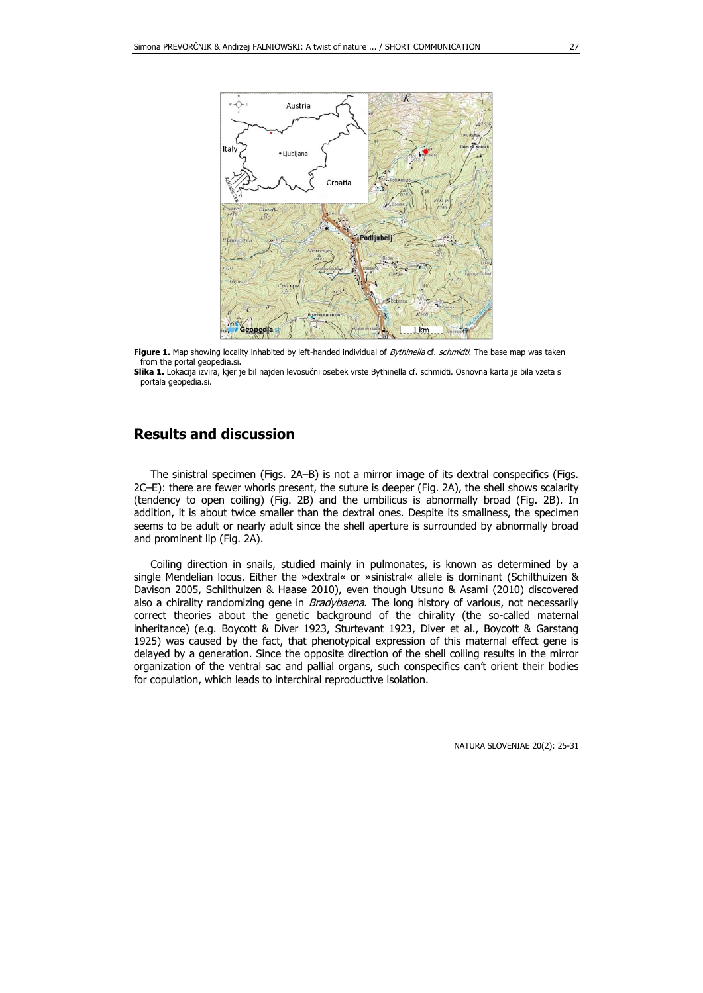

**Figure 1.** Map showing locality inhabited by left-handed individual of *Bythinella* cf. schmidti. The base map was taken from the portal geopedia.si.

**Slika 1.** Lokacija izvira, kjer je bil najden levosučni osebek vrste Bythinella cf. schmidti. Osnovna karta je bila vzeta s portala geopedia.si.

### **Results and discussion**

The sinistral specimen (Figs. 2A–B) is not a mirror image of its dextral conspecifics (Figs. 2C–E): there are fewer whorls present, the suture is deeper (Fig. 2A), the shell shows scalarity (tendency to open coiling) (Fig. 2B) and the umbilicus is abnormally broad (Fig. 2B). In addition, it is about twice smaller than the dextral ones. Despite its smallness, the specimen seems to be adult or nearly adult since the shell aperture is surrounded by abnormally broad and prominent lip (Fig. 2A).

Coiling direction in snails, studied mainly in pulmonates, is known as determined by a single Mendelian locus. Either the »dextral« or »sinistral« allele is dominant (Schilthuizen & Davison 2005, Schilthuizen & Haase 2010), even though Utsuno & Asami (2010) discovered also a chirality randomizing gene in *Bradybaena*. The long history of various, not necessarily correct theories about the genetic background of the chirality (the so-called maternal inheritance) (e.g. Boycott & Diver 1923, Sturtevant 1923, Diver et al., Boycott & Garstang 1925) was caused by the fact, that phenotypical expression of this maternal effect gene is delayed by a generation. Since the opposite direction of the shell coiling results in the mirror organization of the ventral sac and pallial organs, such conspecifics can't orient their bodies for copulation, which leads to interchiral reproductive isolation.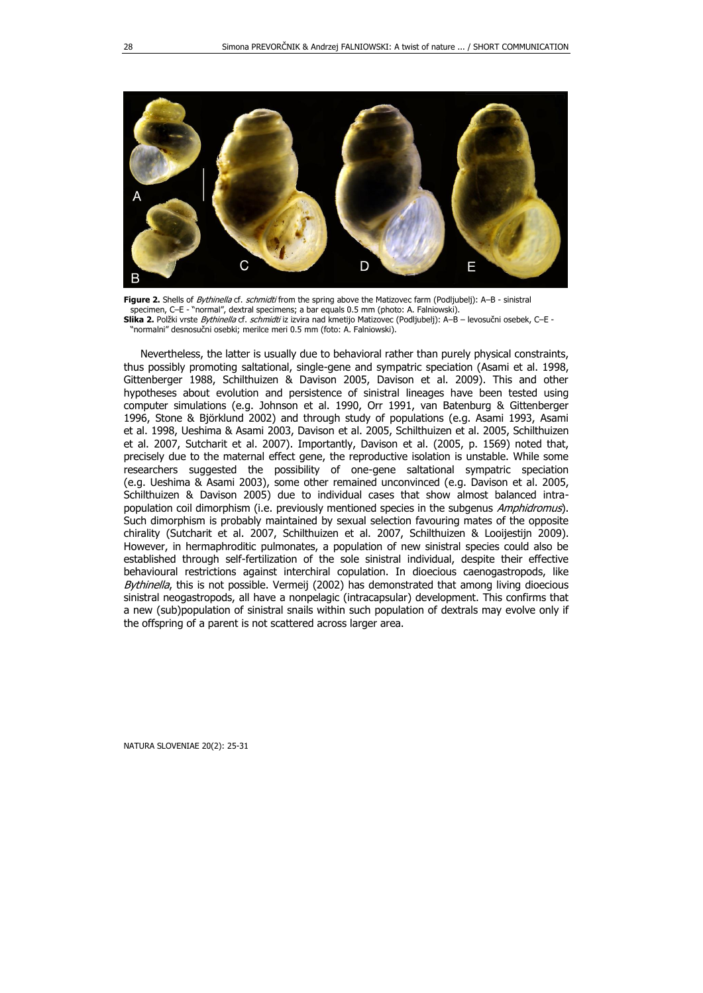

**Figure 2.** Shells of Bythinella cf. schmidti from the spring above the Matizovec farm (Podljubelj): A–B - sinistral specimen, C-E - "normal", dextral specimens; a bar equals 0.5 mm (photo: A. Falniowski) **Slika 2.** Polžki vrste Bythinella cf. schmidti iz izvira nad kmetijo Matizovec (Podljubelj): A–B – levosučni osebek, C–E - "normalni" desnosučni osebki; merilce meri 0.5 mm (foto: A. Falniowski).

Nevertheless, the latter is usually due to behavioral rather than purely physical constraints, thus possibly promoting saltational, single-gene and sympatric speciation (Asami et al. 1998, Gittenberger 1988, Schilthuizen & Davison 2005, Davison et al. 2009). This and other hypotheses about evolution and persistence of sinistral lineages have been tested using computer simulations (e.g. Johnson et al. 1990, Orr 1991, van Batenburg & Gittenberger 1996, Stone & Björklund 2002) and through study of populations (e.g. Asami 1993, Asami et al. 1998, Ueshima & Asami 2003, Davison et al. 2005, Schilthuizen et al. 2005, Schilthuizen et al. 2007, Sutcharit et al. 2007). Importantly, Davison et al. (2005, p. 1569) noted that, precisely due to the maternal effect gene, the reproductive isolation is unstable. While some researchers suggested the possibility of one-gene saltational sympatric speciation (e.g. Ueshima & Asami 2003), some other remained unconvinced (e.g. Davison et al. 2005, Schilthuizen & Davison 2005) due to individual cases that show almost balanced intrapopulation coil dimorphism (i.e. previously mentioned species in the subgenus Amphidromus). Such dimorphism is probably maintained by sexual selection favouring mates of the opposite chirality (Sutcharit et al. 2007, Schilthuizen et al. 2007, Schilthuizen & Looijestijn 2009). However, in hermaphroditic pulmonates, a population of new sinistral species could also be established through self-fertilization of the sole sinistral individual, despite their effective behavioural restrictions against interchiral copulation. In dioecious caenogastropods, like Bythinella, this is not possible. Vermeij (2002) has demonstrated that among living dioecious sinistral neogastropods, all have a nonpelagic (intracapsular) development. This confirms that a new (sub)population of sinistral snails within such population of dextrals may evolve only if the offspring of a parent is not scattered across larger area.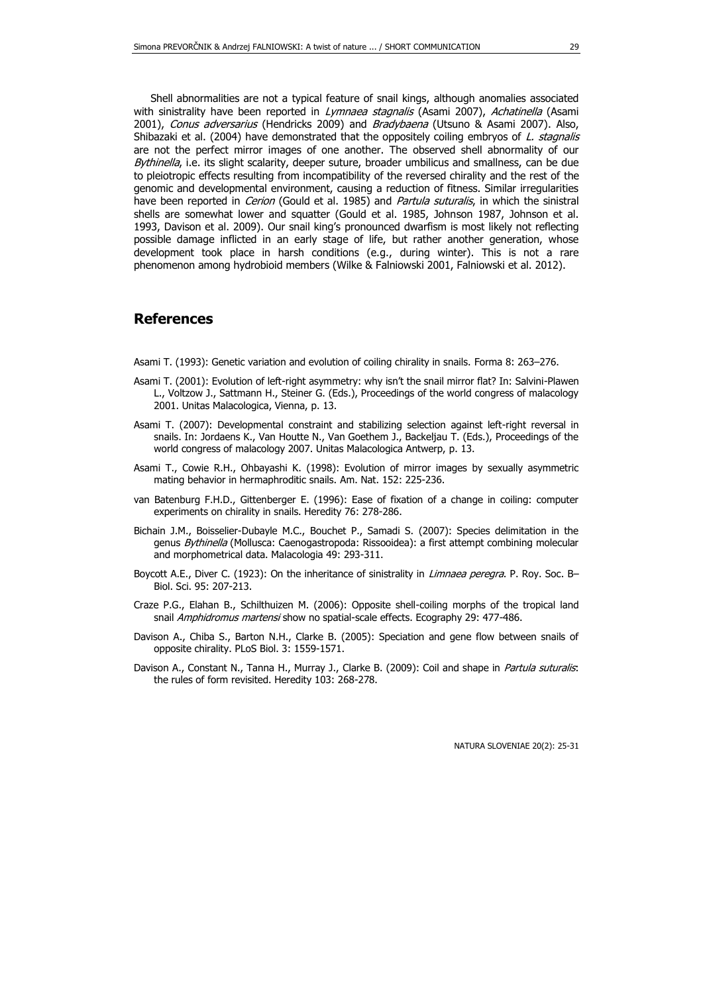Shell abnormalities are not a typical feature of snail kings, although anomalies associated with sinistrality have been reported in *Lymnaea stagnalis* (Asami 2007), Achatinella (Asami 2001), Conus adversarius (Hendricks 2009) and Bradybaena (Utsuno & Asami 2007). Also, Shibazaki et al. (2004) have demonstrated that the oppositely coiling embryos of L. stagnalis are not the perfect mirror images of one another. The observed shell abnormality of our Bythinella, i.e. its slight scalarity, deeper suture, broader umbilicus and smallness, can be due to pleiotropic effects resulting from incompatibility of the reversed chirality and the rest of the genomic and developmental environment, causing a reduction of fitness. Similar irregularities have been reported in *Cerion* (Gould et al. 1985) and *Partula suturalis*, in which the sinistral shells are somewhat lower and squatter (Gould et al. 1985, Johnson 1987, Johnson et al. 1993, Davison et al. 2009). Our snail king's pronounced dwarfism is most likely not reflecting possible damage inflicted in an early stage of life, but rather another generation, whose development took place in harsh conditions (e.g., during winter). This is not a rare phenomenon among hydrobioid members (Wilke & Falniowski 2001, Falniowski et al. 2012).

#### **References**

- Asami T. (1993): Genetic variation and evolution of coiling chirality in snails. Forma 8: 263–276.
- Asami T. (2001): Evolution of left-right asymmetry: why isn't the snail mirror flat? In: Salvini-Plawen L., Voltzow J., Sattmann H., Steiner G. (Eds.), Proceedings of the world congress of malacology 2001. Unitas Malacologica, Vienna, p. 13.
- Asami T. (2007): Developmental constraint and stabilizing selection against left-right reversal in snails. In: Jordaens K., Van Houtte N., Van Goethem J., Backeljau T. (Eds.), Proceedings of the world congress of malacology 2007. Unitas Malacologica Antwerp, p. 13.
- Asami T., Cowie R.H., Ohbayashi K. (1998): Evolution of mirror images by sexually asymmetric mating behavior in hermaphroditic snails. Am. Nat. 152: 225-236.
- van Batenburg F.H.D., Gittenberger E. (1996): Ease of fixation of a change in coiling: computer experiments on chirality in snails. Heredity 76: 278-286.
- Bichain J.M., Boisselier-Dubayle M.C., Bouchet P., Samadi S. (2007): Species delimitation in the genus Bythinella (Mollusca: Caenogastropoda: Rissooidea): a first attempt combining molecular and morphometrical data. Malacologia 49: 293-311.
- Boycott A.E., Diver C. (1923): On the inheritance of sinistrality in *Limnaea peregra*. P. Roy. Soc. B-Biol. Sci. 95: 207-213.
- Craze P.G., Elahan B., Schilthuizen M. (2006): Opposite shell-coiling morphs of the tropical land snail Amphidromus martensi show no spatial-scale effects. Ecography 29: 477-486.
- Davison A., Chiba S., Barton N.H., Clarke B. (2005): Speciation and gene flow between snails of opposite chirality. PLoS Biol. 3: 1559-1571.
- Davison A., Constant N., Tanna H., Murray J., Clarke B. (2009): Coil and shape in Partula suturalis: the rules of form revisited. Heredity 103: 268-278.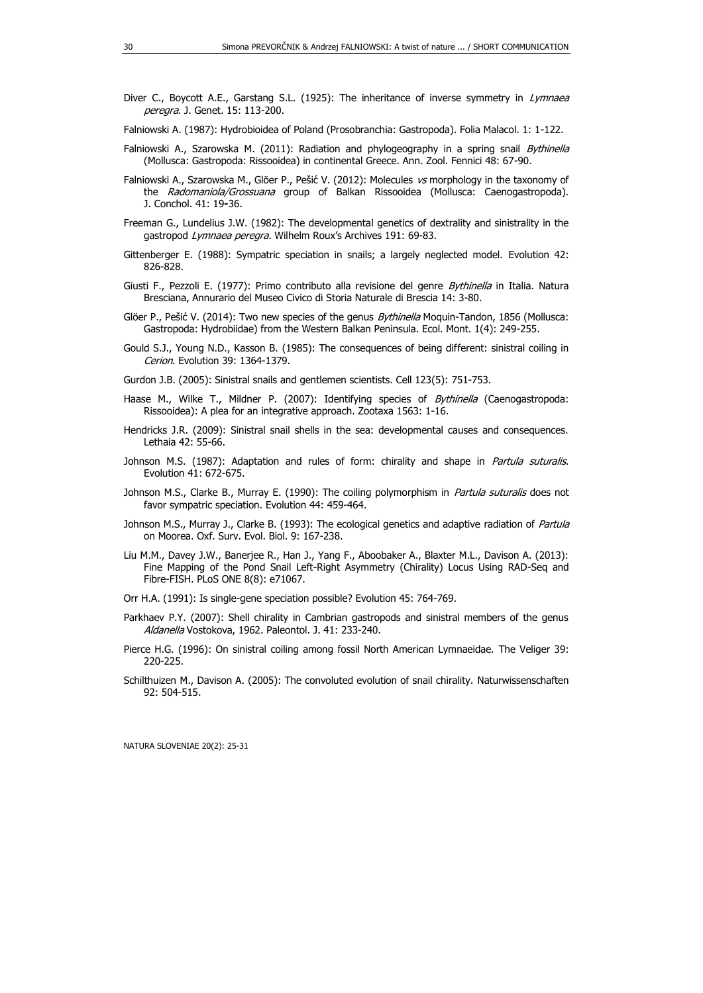- Diver C., Boycott A.E., Garstang S.L. (1925): The inheritance of inverse symmetry in Lymnaea peregra. J. Genet. 15: 113-200.
- Falniowski A. (1987): Hydrobioidea of Poland (Prosobranchia: Gastropoda). Folia Malacol. 1: 1-122.
- Falniowski A., Szarowska M. (2011): Radiation and phylogeography in a spring snail Bythinella (Mollusca: Gastropoda: Rissooidea) in continental Greece. Ann. Zool. Fennici 48: 67-90.
- Falniowski A., Szarowska M., Glöer P., Pešić V. (2012): Molecules vs morphology in the taxonomy of the Radomaniola/Grossuana group of Balkan Rissooidea (Mollusca: Caenogastropoda). J. Conchol. 41: 19**-**36.
- Freeman G., Lundelius J.W. (1982): The developmental genetics of dextrality and sinistrality in the qastropod Lymnaea peregra. Wilhelm Roux's Archives 191: 69-83.
- Gittenberger E. (1988): Sympatric speciation in snails; a largely neglected model. Evolution 42: 826-828.
- Giusti F., Pezzoli E. (1977): Primo contributo alla revisione del genre Bythinella in Italia. Natura Bresciana, Annurario del Museo Civico di Storia Naturale di Brescia 14: 3-80.
- Glöer P., Pešić V. (2014): Two new species of the genus *Bythinella* Moquin-Tandon, 1856 (Mollusca: Gastropoda: Hydrobiidae) from the Western Balkan Peninsula. Ecol. Mont. 1(4): 249-255.
- Gould S.J., Young N.D., Kasson B. (1985): The consequences of being different: sinistral coiling in Cerion. Evolution 39: 1364-1379.
- Gurdon J.B. (2005): Sinistral snails and gentlemen scientists. Cell 123(5): 751-753.
- Haase M., Wilke T., Mildner P. (2007): Identifying species of Bythinella (Caenogastropoda: Rissooidea): A plea for an integrative approach. Zootaxa 1563: 1-16.
- Hendricks J.R. (2009): Sinistral snail shells in the sea: developmental causes and consequences. Lethaia 42: 55-66.
- Johnson M.S. (1987): Adaptation and rules of form: chirality and shape in Partula suturalis. Evolution 41: 672-675.
- Johnson M.S., Clarke B., Murray E. (1990): The coiling polymorphism in *Partula suturalis* does not favor sympatric speciation. Evolution 44: 459-464.
- Johnson M.S., Murray J., Clarke B. (1993): The ecological genetics and adaptive radiation of Partula on Moorea. Oxf. Surv. Evol. Biol. 9: 167-238.
- Liu M.M., Davey J.W., Banerjee R., Han J., Yang F., Aboobaker A., Blaxter M.L., Davison A. (2013): Fine Mapping of the Pond Snail Left-Right Asymmetry (Chirality) Locus Using RAD-Seq and Fibre-FISH. PLoS ONE 8(8): e71067.

Orr H.A. (1991): Is single-gene speciation possible? Evolution 45: 764-769.

- Parkhaev P.Y. (2007): Shell chirality in Cambrian gastropods and sinistral members of the genus Aldanella Vostokova, 1962. Paleontol. J. 41: 233-240.
- Pierce H.G. (1996): On sinistral coiling among fossil North American Lymnaeidae. The Veliger 39: 220-225.
- Schilthuizen M., Davison A. (2005): The convoluted evolution of snail chirality. Naturwissenschaften 92: 504-515.